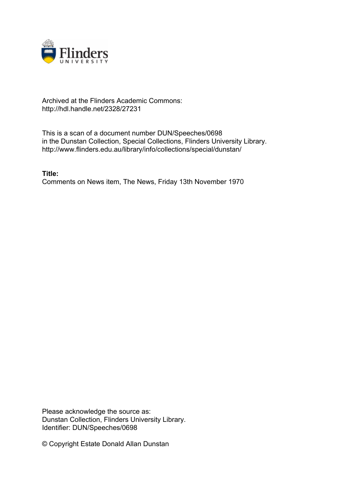

# Archived at the Flinders Academic Commons: http://hdl.handle.net/2328/27231

This is a scan of a document number DUN/Speeches/0698 in the Dunstan Collection, Special Collections, Flinders University Library. http://www.flinders.edu.au/library/info/collections/special/dunstan/

**Title:** Comments on News item, The News, Friday 13th November 1970

Please acknowledge the source as: Dunstan Collection, Flinders University Library. Identifier: DUN/Speeches/0698

© Copyright Estate Donald Allan Dunstan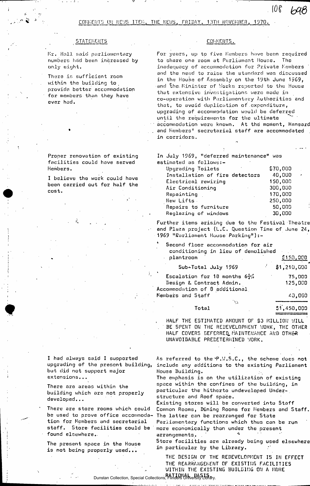COMMENTS ON NEWS ITEM, THE NEWS, FRIDAY, 13TH NOVEMBER, 1970.

### **STATEMENTS**

Mr. Hall said parliamentary numbers had been increased by only eight.

There is sufficient room within the building to . provide, better accommodation for members- than they have ever had.

## Proper renovation of existing facilities could hove served Members.

I believe the work could have been carried out for half the cost.

## COMMENTS.

For years, up to five Members have been required to share one room at Parliament House. The inadequacy of accommodation for Private Members and the need to raise the standard was discussed in the House of Assembly on the 19th June 1969, and ^the. Minister of Works reported to the House that extensive investigations were made in co-operation with Parliamentary Authorities and that, to avoid duplication of . expenditure, upgrading of accommodation would be deferred until the requirements for the ultimate accommodation were known. At the moment, Hansard and Members\* secretarial staff are accommodated in corridors.

 $108,698$ 

In July 1969, "deferred maintenance" was estimated as follows:-

| Upgrading Toilets              | \$70,000 |        |
|--------------------------------|----------|--------|
| Installation of fire detectors | 40,000   | $\sim$ |
| Electrical rewiring            | 150,000  |        |
| Air Conditioning               | 300,000  |        |
| Repainting                     | 170,000  |        |
| New Lifts                      | 250,000  |        |
| Repairs to furniture           | 50,000   |        |
| Reglazing of windows           | 30,000   |        |
|                                |          |        |

Further items arising due to the Festival Theatre and Plaza project (L.C. Question Time of June 24, 1969 "Earliament House Parking"):-

Second floor accommodation for air conditioning in lieu of demolished plantroom **£150,000** Sub-Total July 1969 •' Si,210,000 Escalation for 18 months  $6\frac{1}{2}$ % 75,000 Design & Contract Admin. 125,000 Accommodation of 0 additional. Members and Staff 40,000  $\lambda_{\rm{in}}$ 

| Total | 31,450,000                                                               |
|-------|--------------------------------------------------------------------------|
|       | the contract of the company's substitute the contract of the contract of |

HALF THE ESTIMATED AMOUNT OF \$3 MILLION WILL BE SPENT ON THE REDEVELOPMENT WORK, THE OTHER HALF COVERS DEFERRED MAINTENANCE AND OTHER UNAVOIDABLE PREDETERMINED WORK.

I had always said I supported upgrading of the present building, but did not support major extensions.. .

There are areas within the building which ore not properly developed...

There are store rooms which could be used to prove office accommodation for Members and secretarial staff. Store facilities could be found elsewhere..

The present space in the House is not being properly used...

As referred to the P.W.S.C., the scheme does not include any additions to the existing Parliament House Building.

The emphasis is on the utilization of existing space within the confines of the building, in particular the hitherto undeveloped Understructure and Roof space.

Existing stores will be converted into Staff Common Rooms, Dining Rooms for Members and Staff. The latter can be rearranged for 5tate Parliamentary functions which thus can be run more economically than under the present

arrangements. Store facilities are already being used elsewhere

in particular by the Library. THE DESIGN OF THE REDEVELOPMENT IS IN EFFECT THE REARRANGEMENT OF EXISTING FACILITIES

WITHIN THE EXISTING BUILDING ON A MORE